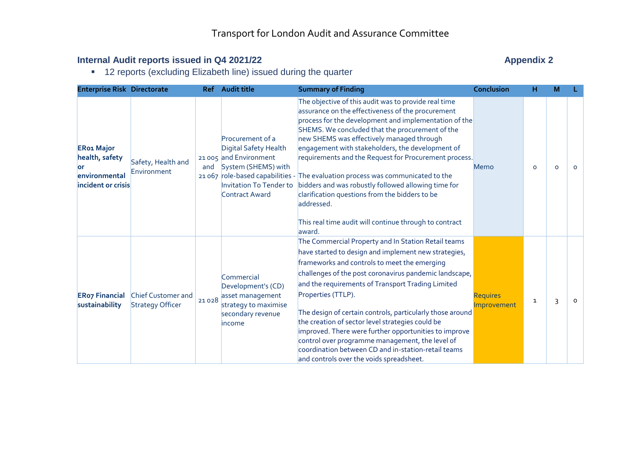#### **Internal Audit reports issued in Q4 2021/22** Appendix 2

**12 reports (excluding Elizabeth line) issued during the quarter** 

| <b>Enterprise Risk Directorate</b>                                                |                                                      | <b>Ref</b> | <b>Audit title</b>                                                                                                                             | <b>Summary of Finding</b>                                                                                                                                                                                                                                                                                                                                                                                                                                                                                                                                                                                                                                      | Conclusion                     | н        | М |         |
|-----------------------------------------------------------------------------------|------------------------------------------------------|------------|------------------------------------------------------------------------------------------------------------------------------------------------|----------------------------------------------------------------------------------------------------------------------------------------------------------------------------------------------------------------------------------------------------------------------------------------------------------------------------------------------------------------------------------------------------------------------------------------------------------------------------------------------------------------------------------------------------------------------------------------------------------------------------------------------------------------|--------------------------------|----------|---|---------|
| <b>ERo1 Major</b><br>health, safety<br>lor<br>environmental<br>incident or crisis | Safety, Health and<br>Environment                    | and        | Procurement of a<br>Digital Safety Health<br>21 005 and Environment<br>System (SHEMS) with<br><b>Invitation To Tender to</b><br>Contract Award | The objective of this audit was to provide real time<br>assurance on the effectiveness of the procurement<br>process for the development and implementation of the<br>SHEMS. We concluded that the procurement of the<br>new SHEMS was effectively managed through<br>engagement with stakeholders, the development of<br>requirements and the Request for Procurement process.<br>21 067 role-based capabilities - The evaluation process was communicated to the<br>bidders and was robustly followed allowing time for<br>clarification questions from the bidders to be<br>addressed.<br>This real time audit will continue through to contract<br>laward. | Memo                           | $\Omega$ | O | $\circ$ |
| <b>ERo7 Financial</b><br>sustainability                                           | <b>Chief Customer and</b><br><b>Strategy Officer</b> | 21028      | Commercial<br>Development's (CD)<br>asset management<br>strategy to maximise<br>secondary revenue<br>income                                    | The Commercial Property and In Station Retail teams<br>have started to design and implement new strategies,<br>frameworks and controls to meet the emerging<br>challenges of the post coronavirus pandemic landscape,<br>and the requirements of Transport Trading Limited<br>Properties (TTLP).<br>The design of certain controls, particularly those around<br>the creation of sector level strategies could be<br>improved. There were further opportunities to improve<br>control over programme management, the level of<br>coordination between CD and in-station-retail teams<br>and controls over the voids spreadsheet.                               | <b>Requires</b><br>Improvement | 1        | 3 | $\circ$ |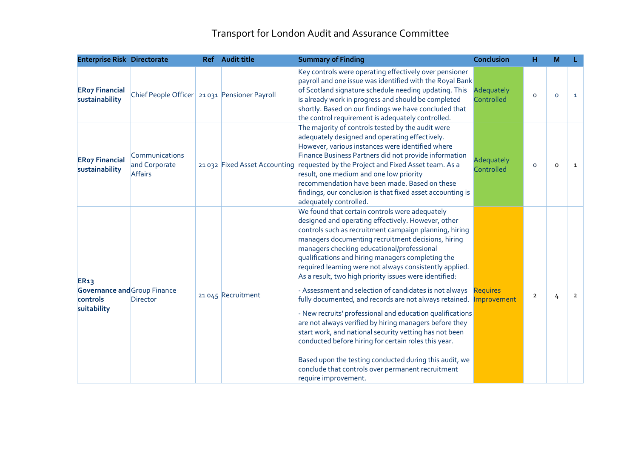# Transport for London Audit and Assurance Committee

| <b>Enterprise Risk Directorate</b>                                            |                                                   | Ref Audit title               | <b>Summary of Finding</b>                                                                                                                                                                                                                                                                                                                                                                                                                                                                                                                                        | <b>Conclusion</b>              | н              | M       |                |
|-------------------------------------------------------------------------------|---------------------------------------------------|-------------------------------|------------------------------------------------------------------------------------------------------------------------------------------------------------------------------------------------------------------------------------------------------------------------------------------------------------------------------------------------------------------------------------------------------------------------------------------------------------------------------------------------------------------------------------------------------------------|--------------------------------|----------------|---------|----------------|
| <b>ERo7 Financial</b><br>sustainability                                       | Chief People Officer 21 031 Pensioner Payroll     |                               | Key controls were operating effectively over pensioner<br>payroll and one issue was identified with the Royal Bank<br>of Scotland signature schedule needing updating. This<br>is already work in progress and should be completed<br>shortly. Based on our findings we have concluded that<br>the control requirement is adequately controlled.                                                                                                                                                                                                                 | Adequately<br>Controlled       | $\circ$        | $\circ$ | $\mathbf{1}$   |
| <b>ERo7 Financial</b><br>sustainability                                       | Communications<br>and Corporate<br><b>Affairs</b> | 21 032 Fixed Asset Accounting | The majority of controls tested by the audit were<br>adequately designed and operating effectively.<br>However, various instances were identified where<br>Finance Business Partners did not provide information<br>requested by the Project and Fixed Asset team. As a<br>result, one medium and one low priority<br>recommendation have been made. Based on these<br>findings, our conclusion is that fixed asset accounting is<br>adequately controlled.                                                                                                      | Adequately<br>Controlled       | $\circ$        | $\circ$ | $\mathbf{1}$   |
| <b>ER13</b><br><b>Governance and Group Finance</b><br>controls<br>suitability | Director                                          | 21 045 Recruitment            | We found that certain controls were adequately<br>designed and operating effectively. However, other<br>controls such as recruitment campaign planning, hiring<br>managers documenting recruitment decisions, hiring<br>managers checking educational/professional<br>qualifications and hiring managers completing the<br>required learning were not always consistently applied.<br>As a result, two high priority issues were identified:<br>- Assessment and selection of candidates is not always<br>fully documented, and records are not always retained. | <b>Requires</b><br>Improvement | $\overline{2}$ | 4       | $\overline{2}$ |
|                                                                               |                                                   |                               | - New recruits' professional and education qualifications<br>are not always verified by hiring managers before they<br>start work, and national security vetting has not been<br>conducted before hiring for certain roles this year.<br>Based upon the testing conducted during this audit, we<br>conclude that controls over permanent recruitment<br>require improvement.                                                                                                                                                                                     |                                |                |         |                |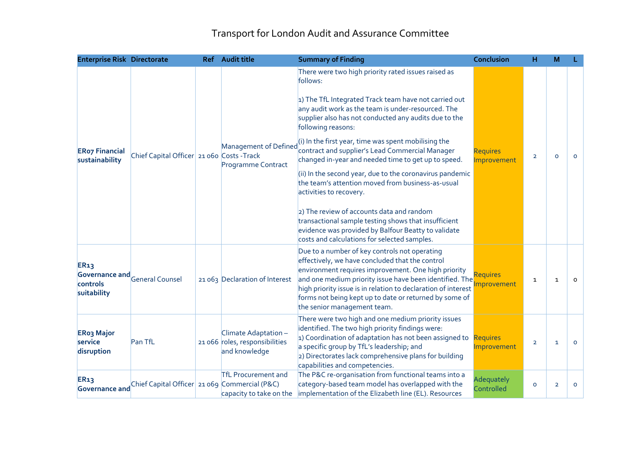## Transport for London Audit and Assurance Committee

| <b>Enterprise Risk Directorate</b>         |                                               | Ref Audit title                                                         | <b>Summary of Finding</b>                                                                                                                                                                                                                                                                                                                                                                                                                                                                                                                                                                                                                                                                                                                                                               | <b>Conclusion</b>              | н              | M              |          |
|--------------------------------------------|-----------------------------------------------|-------------------------------------------------------------------------|-----------------------------------------------------------------------------------------------------------------------------------------------------------------------------------------------------------------------------------------------------------------------------------------------------------------------------------------------------------------------------------------------------------------------------------------------------------------------------------------------------------------------------------------------------------------------------------------------------------------------------------------------------------------------------------------------------------------------------------------------------------------------------------------|--------------------------------|----------------|----------------|----------|
| <b>ERo7 Financial</b><br>sustainability    | Chief Capital Officer 21 060 Costs - Track    | Management of Defined<br>Programme Contract                             | There were two high priority rated issues raised as<br>follows:<br>1) The TfL Integrated Track team have not carried out<br>any audit work as the team is under-resourced. The<br>supplier also has not conducted any audits due to the<br>following reasons:<br>(i) In the first year, time was spent mobilising the<br>contract and supplier's Lead Commercial Manager<br>changed in-year and needed time to get up to speed.<br>(ii) In the second year, due to the coronavirus pandemic<br>the team's attention moved from business-as-usual<br>activities to recovery.<br>2) The review of accounts data and random<br>transactional sample testing shows that insufficient<br>evidence was provided by Balfour Beatty to validate<br>costs and calculations for selected samples. | <b>Requires</b><br>Improvement | $\overline{2}$ | $\Omega$       | $\circ$  |
| <b>ER13</b><br>controls<br>suitability     | Governance and General Counsel                | 21063 Declaration of Interest                                           | Due to a number of key controls not operating<br>effectively, we have concluded that the control<br>environment requires improvement. One high priority<br>and one medium priority issue have been identified. The<br>high priority issue is in relation to declaration of interest<br>forms not being kept up to date or returned by some of<br>the senior management team.                                                                                                                                                                                                                                                                                                                                                                                                            | <b>Requires</b><br>mprovement  | $\mathbf{1}$   | $\mathbf{1}$   | $\Omega$ |
| <b>ERo3 Major</b><br>service<br>disruption | Pan TfL                                       | Climate Adaptation -<br>21 066 roles, responsibilities<br>and knowledge | There were two high and one medium priority issues<br>identified. The two high priority findings were:<br>1) Coordination of adaptation has not been assigned to<br>a specific group by TfL's leadership; and<br>2) Directorates lack comprehensive plans for building<br>capabilities and competencies.                                                                                                                                                                                                                                                                                                                                                                                                                                                                                | <b>Requires</b><br>Improvement | $\overline{2}$ | $\mathbf{1}$   | $\circ$  |
| <b>ER13</b><br>Governance and              | Chief Capital Officer 21 069 Commercial (P&C) | <b>TfL Procurement and</b><br>capacity to take on the                   | The P&C re-organisation from functional teams into a<br>category-based team model has overlapped with the<br>implementation of the Elizabeth line (EL). Resources                                                                                                                                                                                                                                                                                                                                                                                                                                                                                                                                                                                                                       | Adequately<br>Controlled       | $\circ$        | $\overline{2}$ | $\Omega$ |